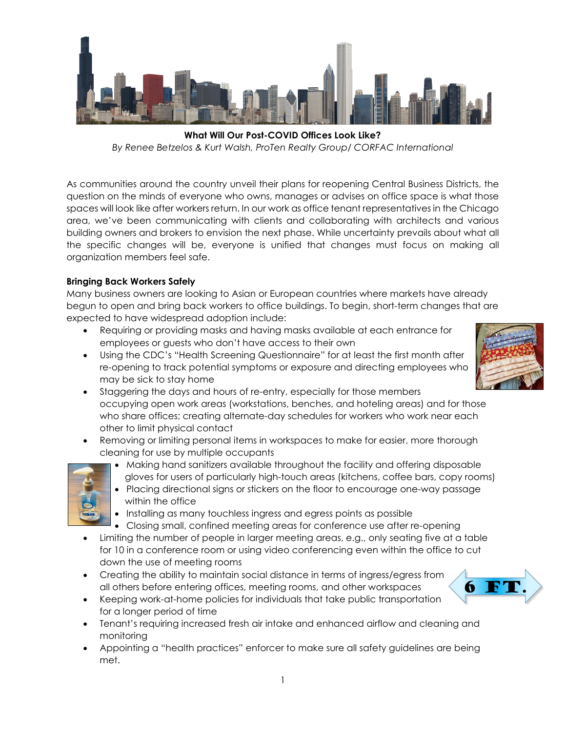

**What Will Our Post-COVID Offices Look Like?** *By Renee Betzelos & Kurt Walsh, ProTen Realty Group/ CORFAC International*

As communities around the country unveil their plans for reopening Central Business Districts, the question on the minds of everyone who owns, manages or advises on office space is what those spaces will look like after workers return. In our work as office tenant representatives in the Chicago area, we've been communicating with clients and collaborating with architects and various building owners and brokers to envision the next phase. While uncertainty prevails about what all the specific changes will be, everyone is unified that changes must focus on making all organization members feel safe.

## **Bringing Back Workers Safely**

Many business owners are looking to Asian or European countries where markets have already begun to open and bring back workers to office buildings. To begin, short-term changes that are expected to have widespread adoption include:

- Requiring or providing masks and having masks available at each entrance for employees or guests who don't have access to their own
- Using the CDC's "Health Screening Questionnaire" for at least the first month after re-opening to track potential symptoms or exposure and directing employees who may be sick to stay home
- Staggering the days and hours of re-entry, especially for those members occupying open work areas (workstations, benches, and hoteling areas) and for those who share offices; creating alternate-day schedules for workers who work near each other to limit physical contact
- Removing or limiting personal items in workspaces to make for easier, more thorough cleaning for use by multiple occupants



- Making hand sanitizers available throughout the facility and offering disposable gloves for users of particularly high-touch areas (kitchens, coffee bars, copy rooms)
- Placing directional signs or stickers on the floor to encourage one-way passage within the office
- Installing as many touchless ingress and egress points as possible
- Closing small, confined meeting areas for conference use after re-opening
- Limiting the number of people in larger meeting areas, e.g., only seating five at a table for 10 in a conference room or using video conferencing even within the office to cut down the use of meeting rooms
- Creating the ability to maintain social distance in terms of ingress/egress from all others before entering offices, meeting rooms, and other workspaces
- Keeping work-at-home policies for individuals that take public transportation for a longer period of time
- Tenant's requiring increased fresh air intake and enhanced airflow and cleaning and monitoring
- Appointing a "health practices" enforcer to make sure all safety guidelines are being met.



6 F 7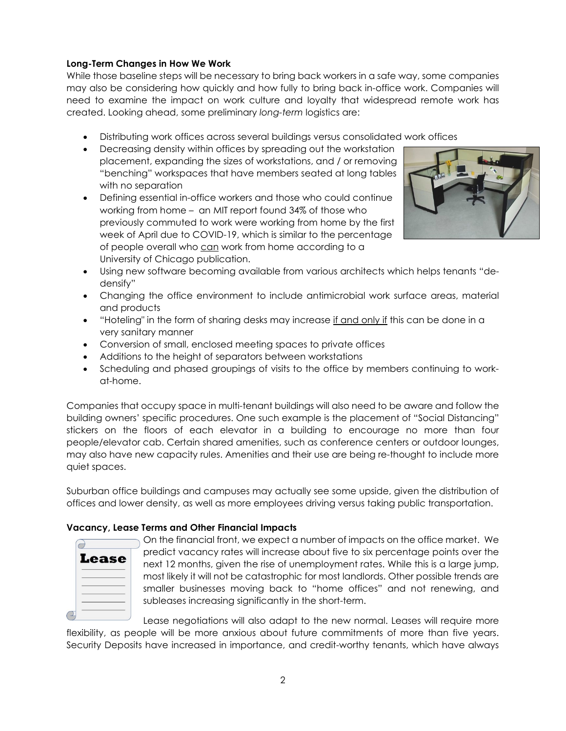## **Long-Term Changes in How We Work**

While those baseline steps will be necessary to bring back workers in a safe way, some companies may also be considering how quickly and how fully to bring back in-office work. Companies will need to examine the impact on work culture and loyalty that widespread remote work has created. Looking ahead, some preliminary *long-term* logistics are:

- Distributing work offices across several buildings versus consolidated work offices
- Decreasing density within offices by spreading out the workstation placement, expanding the sizes of workstations, and / or removing "benching" workspaces that have members seated at long tables with no separation
- Defining essential in-office workers and those who could continue working from home – an MIT report found 34% of those who previously commuted to work were working from home by the first week of April due to COVID-19, which is similar to the percentage of people overall who can work from home according to a University of Chicago publication.



- Using new software becoming available from various architects which helps tenants "dedensify"
- Changing the office environment to include antimicrobial work surface areas, material and products
- "Hoteling" in the form of sharing desks may increase if and only if this can be done in a very sanitary manner
- Conversion of small, enclosed meeting spaces to private offices
- Additions to the height of separators between workstations
- Scheduling and phased groupings of visits to the office by members continuing to workat-home.

Companies that occupy space in multi-tenant buildings will also need to be aware and follow the building owners' specific procedures. One such example is the placement of "Social Distancing" stickers on the floors of each elevator in a building to encourage no more than four people/elevator cab. Certain shared amenities, such as conference centers or outdoor lounges, may also have new capacity rules. Amenities and their use are being re-thought to include more quiet spaces.

Suburban office buildings and campuses may actually see some upside, given the distribution of offices and lower density, as well as more employees driving versus taking public transportation.

## **Vacancy, Lease Terms and Other Financial Impacts**

| Lease |  |  |
|-------|--|--|
|       |  |  |
|       |  |  |
|       |  |  |
|       |  |  |

On the financial front, we expect a number of impacts on the office market. We predict vacancy rates will increase about five to six percentage points over the next 12 months, given the rise of unemployment rates. While this is a large jump, most likely it will not be catastrophic for most landlords. Other possible trends are smaller businesses moving back to "home offices" and not renewing, and subleases increasing significantly in the short-term.

Lease negotiations will also adapt to the new normal. Leases will require more flexibility, as people will be more anxious about future commitments of more than five years. Security Deposits have increased in importance, and credit-worthy tenants, which have always